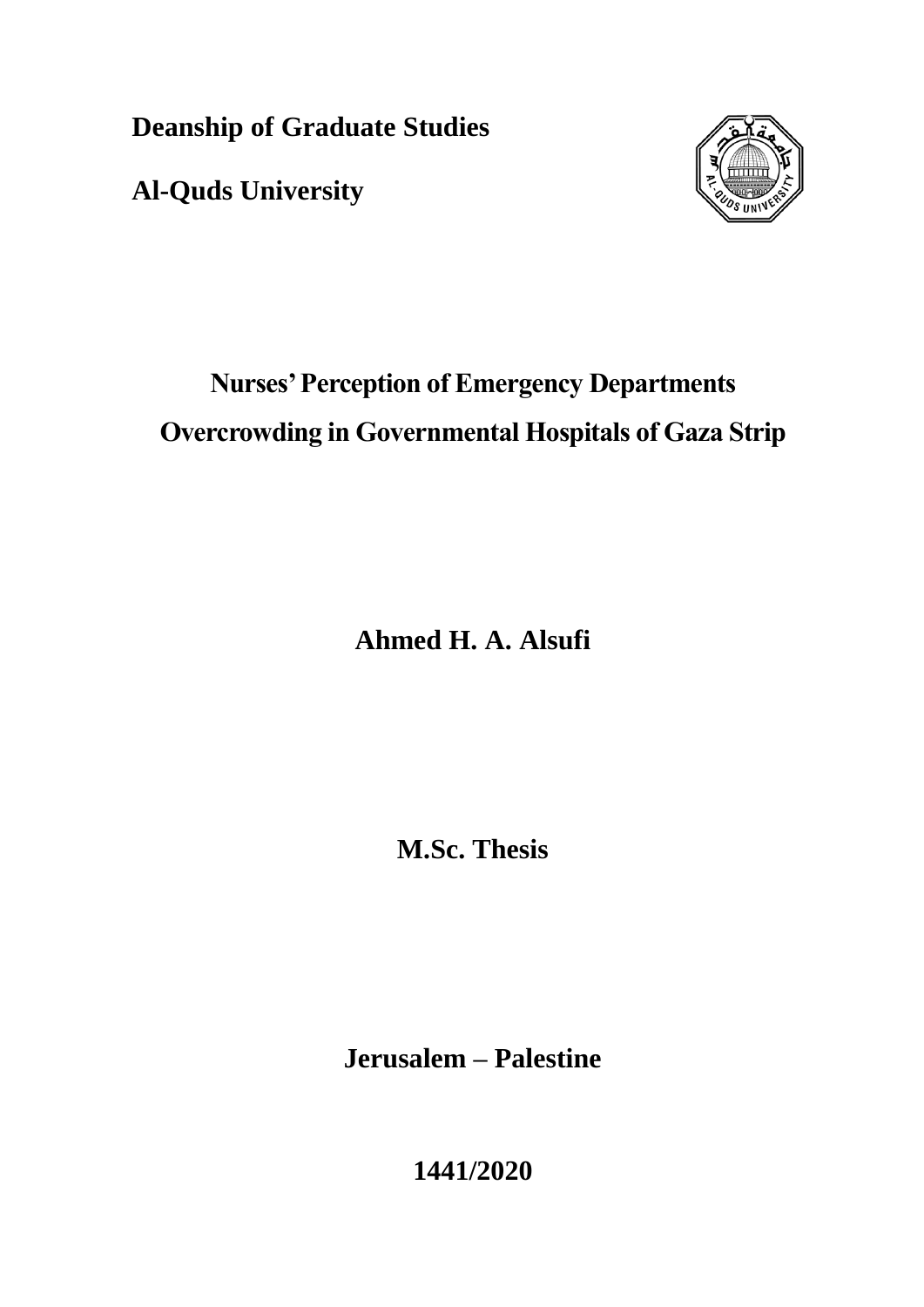**Deanship of Graduate Studies**

**Al-Quds University**



# **Nurses' Perception of Emergency Departments Overcrowding in Governmental Hospitals of Gaza Strip**

**Ahmed H. A. Alsufi**

**M.Sc. Thesis**

**Jerusalem – Palestine**

**1441/2020**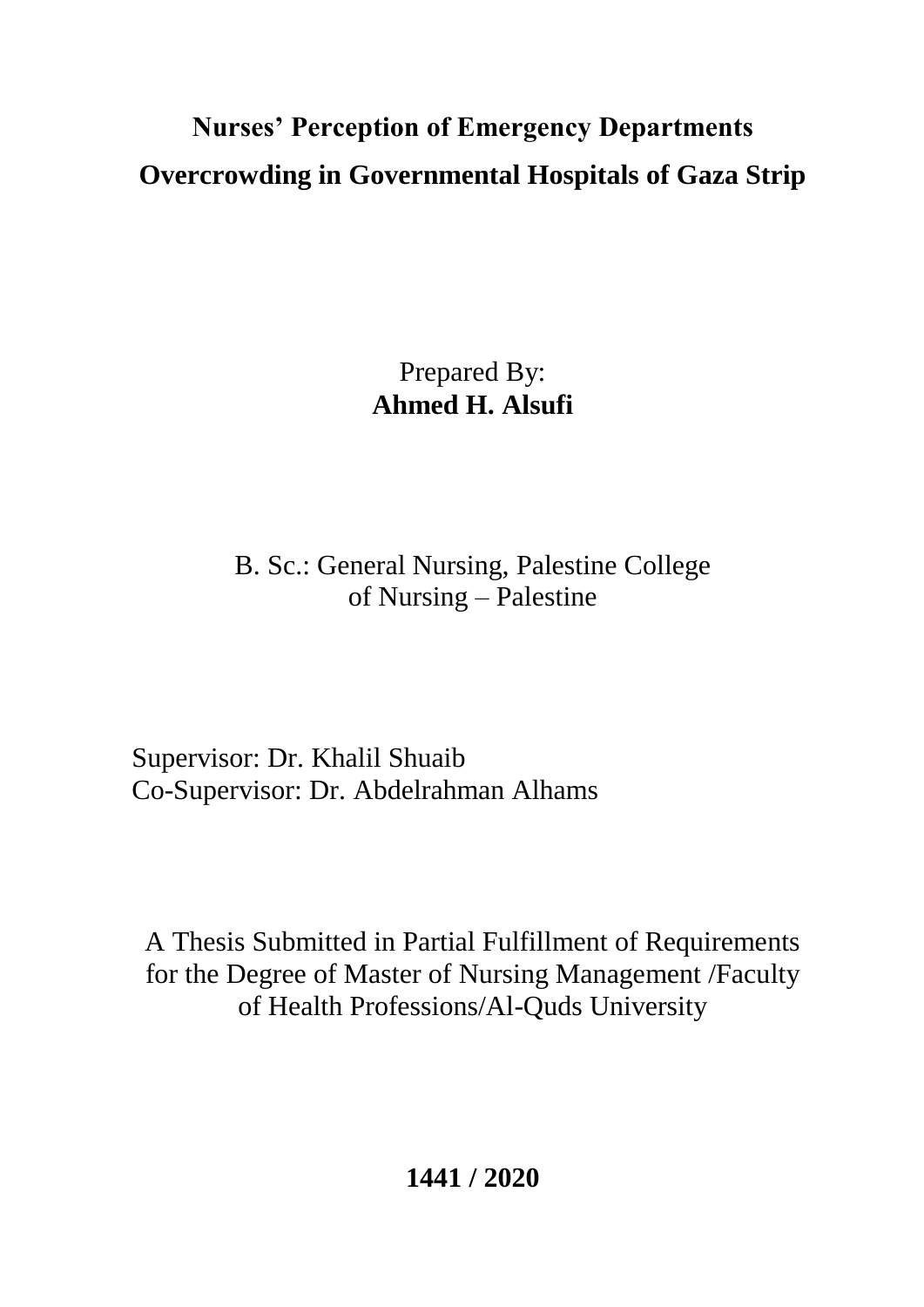# **Nurses' Perception of Emergency Departments Overcrowding in Governmental Hospitals of Gaza Strip**

Prepared By: **Ahmed H. Alsufi**

B. Sc.: General Nursing, Palestine College of Nursing – Palestine

Supervisor: Dr. Khalil Shuaib Co-Supervisor: Dr. Abdelrahman Alhams

A Thesis Submitted in Partial Fulfillment of Requirements for the Degree of Master of Nursing Management /Faculty of Health Professions/Al-Quds University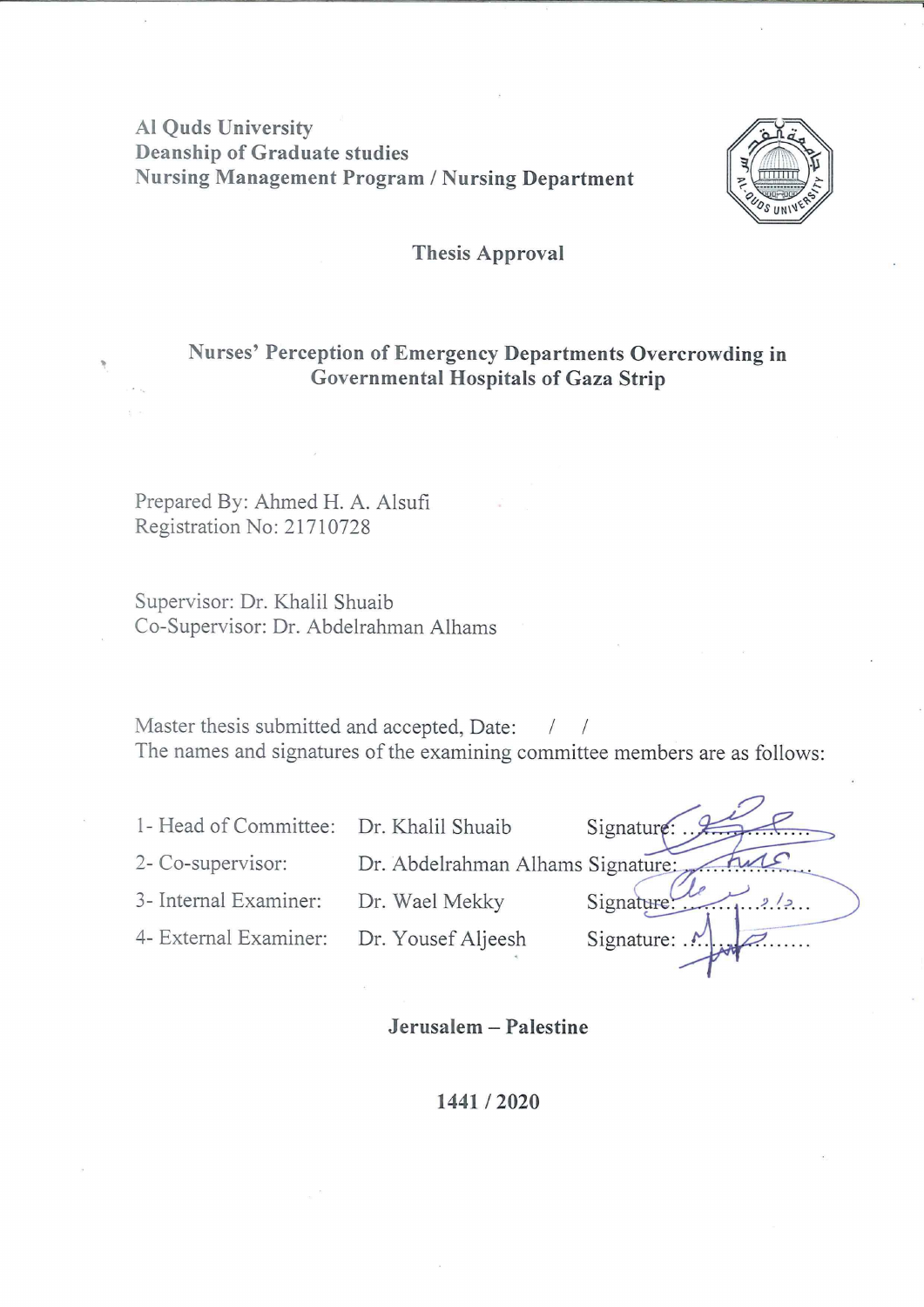# **Al Ouds University Deanship of Graduate studies Nursing Management Program / Nursing Department**



#### **Thesis Approval**

## Nurses' Perception of Emergency Departments Overcrowding in Governmental Hospitals of Gaza Strip

Prepared By: Ahmed H. A. Alsufi Registration No: 21710728

Supervisor: Dr. Khalil Shuaib Co-Supervisor: Dr. Abdelrahman Alhams

Master thesis submitted and accepted, Date:  $\sqrt{2}$  $\sqrt{ }$ The names and signatures of the examining committee members are as follows:

1- Head of Committee: Dr. Khalil Shuaib 2- Co-supervisor: Dr. Abdelrahman Alhams Signature:

3- Internal Examiner: Dr. Wael Mekky

4- External Examiner: Dr. Yousef Aljeesh

Signature Signature! Signature:

#### Jerusalem - Palestine

#### 1441/2020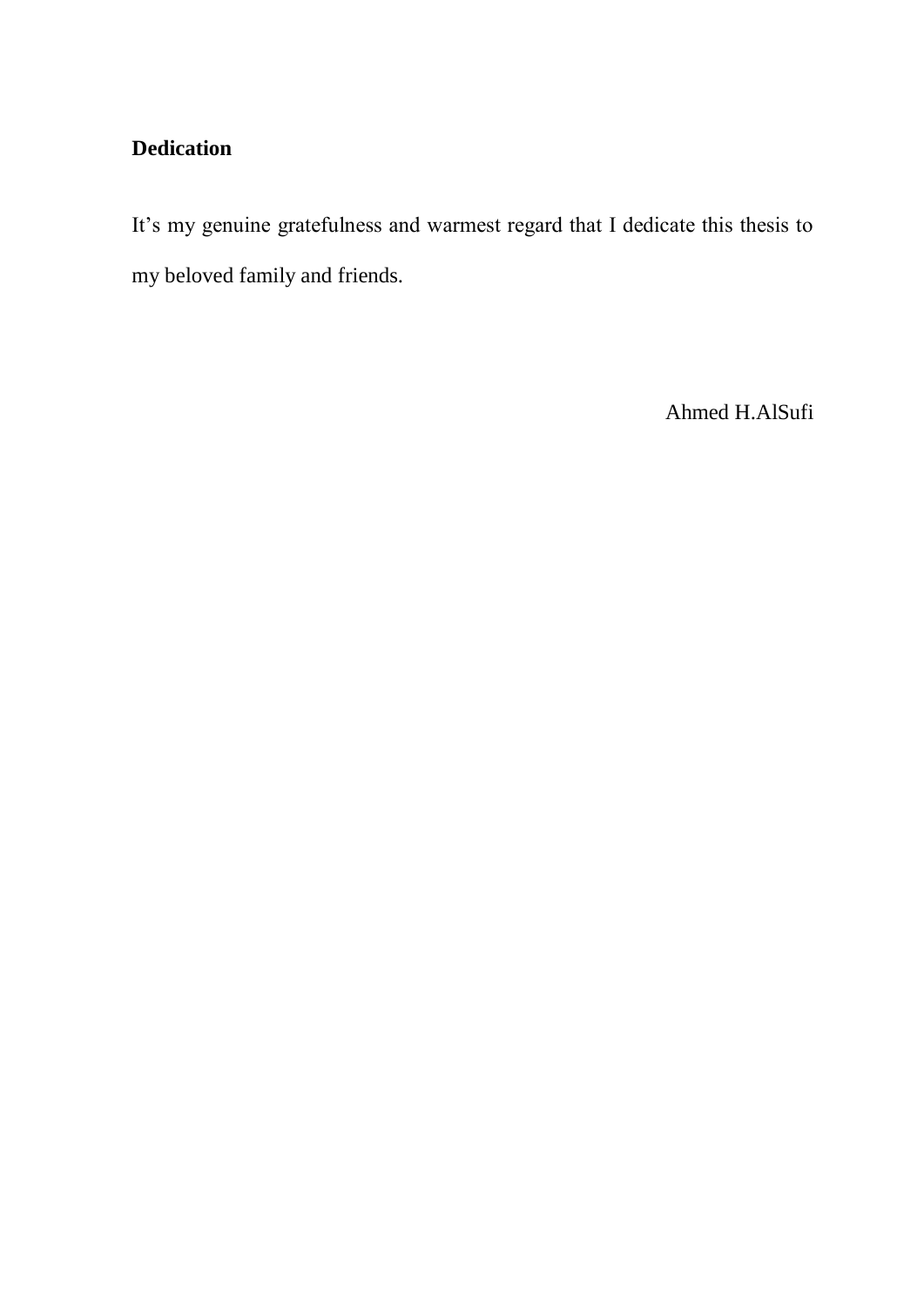# **Dedication**

It's my genuine gratefulness and warmest regard that I dedicate this thesis to my beloved family and friends.

Ahmed H.AlSufi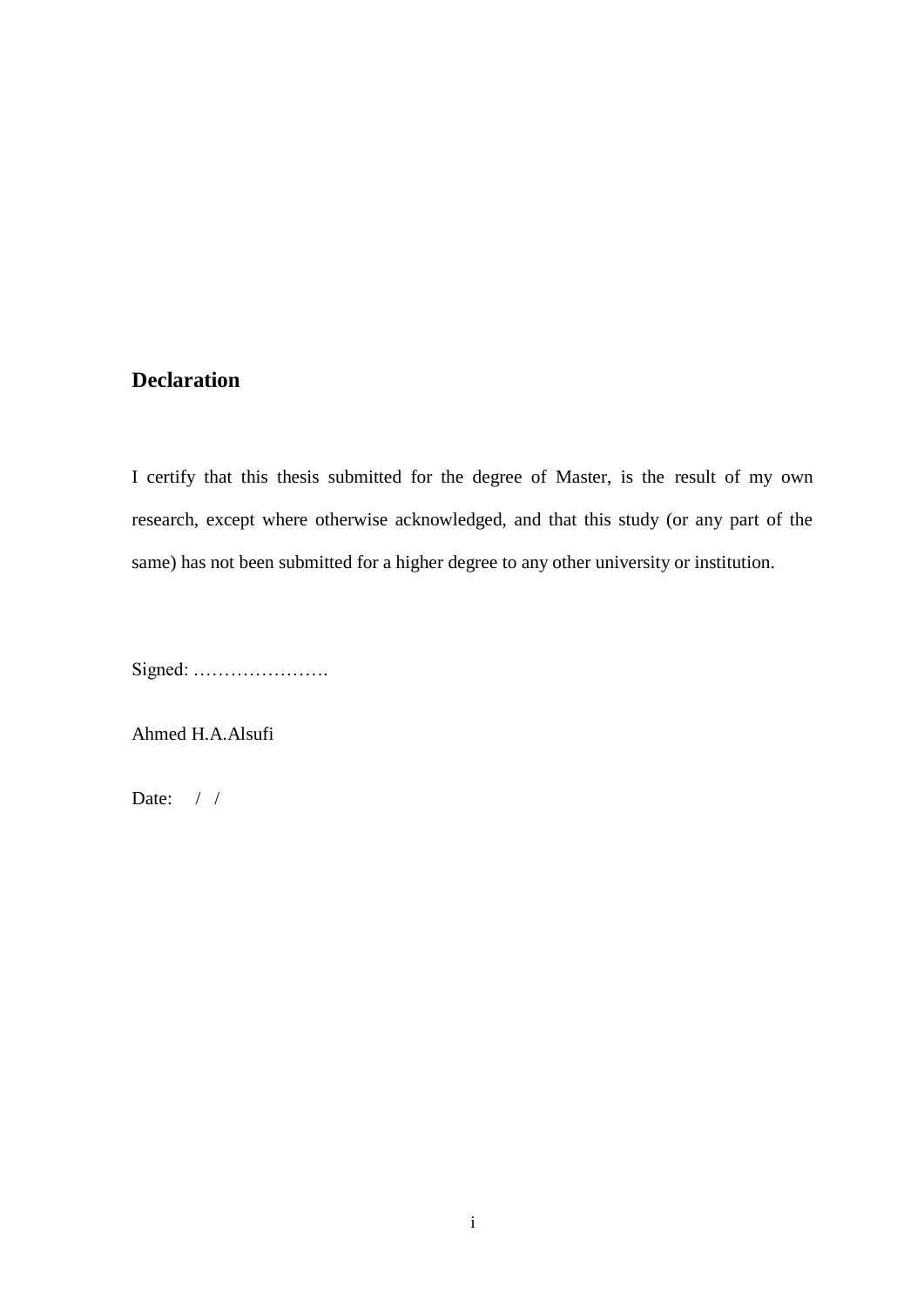### <span id="page-4-0"></span>**Declaration**

I certify that this thesis submitted for the degree of Master, is the result of my own research, except where otherwise acknowledged, and that this study (or any part of the same) has not been submitted for a higher degree to any other university or institution.

Signed: ………………….

Ahmed H.A.Alsufi

Date:  $/ /$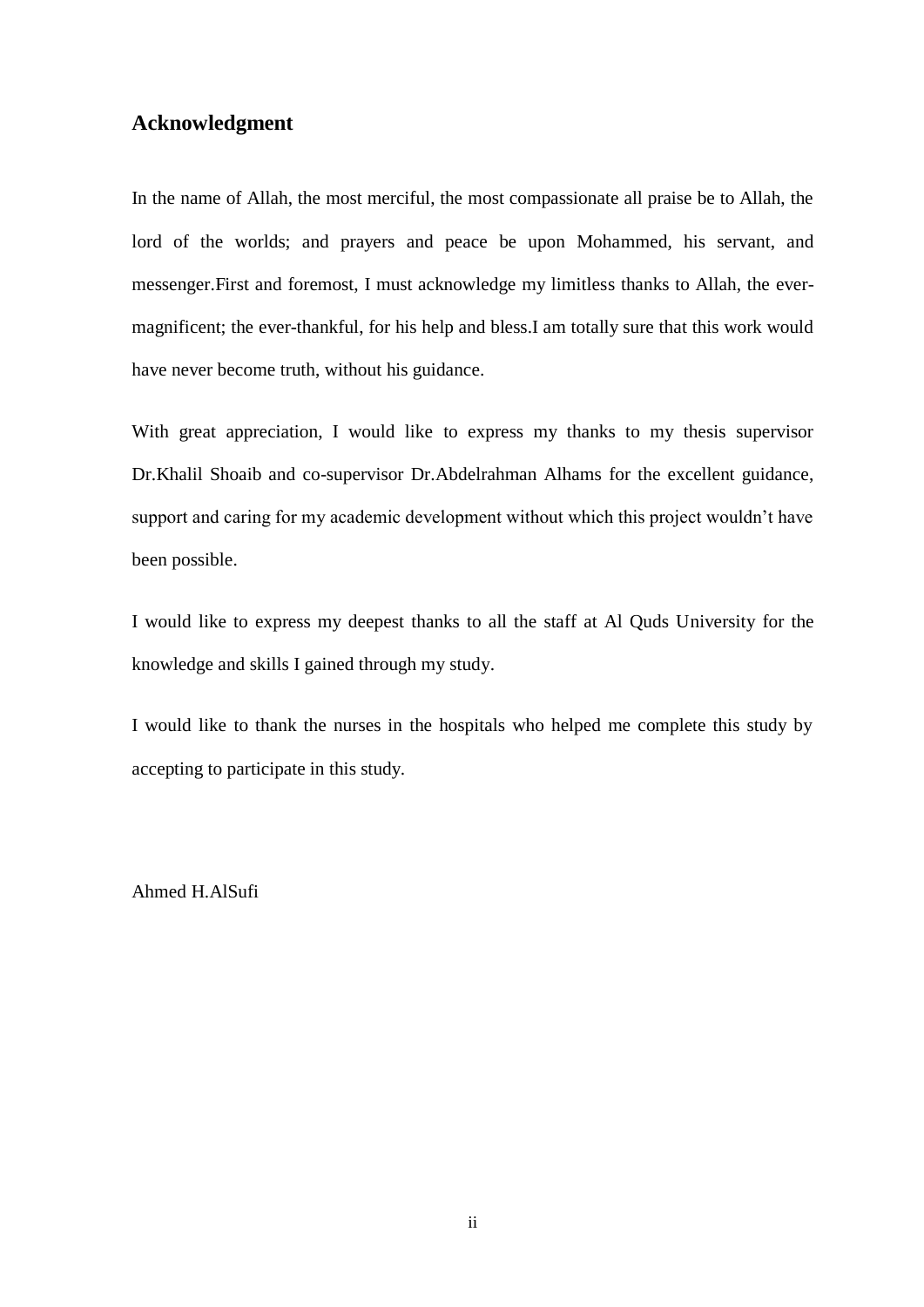### <span id="page-5-0"></span>**Acknowledgment**

In the name of Allah, the most merciful, the most compassionate all praise be to Allah, the lord of the worlds; and prayers and peace be upon Mohammed, his servant, and messenger.First and foremost, I must acknowledge my limitless thanks to Allah, the evermagnificent; the ever-thankful, for his help and bless.I am totally sure that this work would have never become truth, without his guidance.

With great appreciation, I would like to express my thanks to my thesis supervisor Dr.Khalil Shoaib and co-supervisor Dr.Abdelrahman Alhams for the excellent guidance, support and caring for my academic development without which this project wouldn"t have been possible.

I would like to express my deepest thanks to all the staff at Al Quds University for the knowledge and skills I gained through my study.

I would like to thank the nurses in the hospitals who helped me complete this study by accepting to participate in this study.

Ahmed H.AlSufi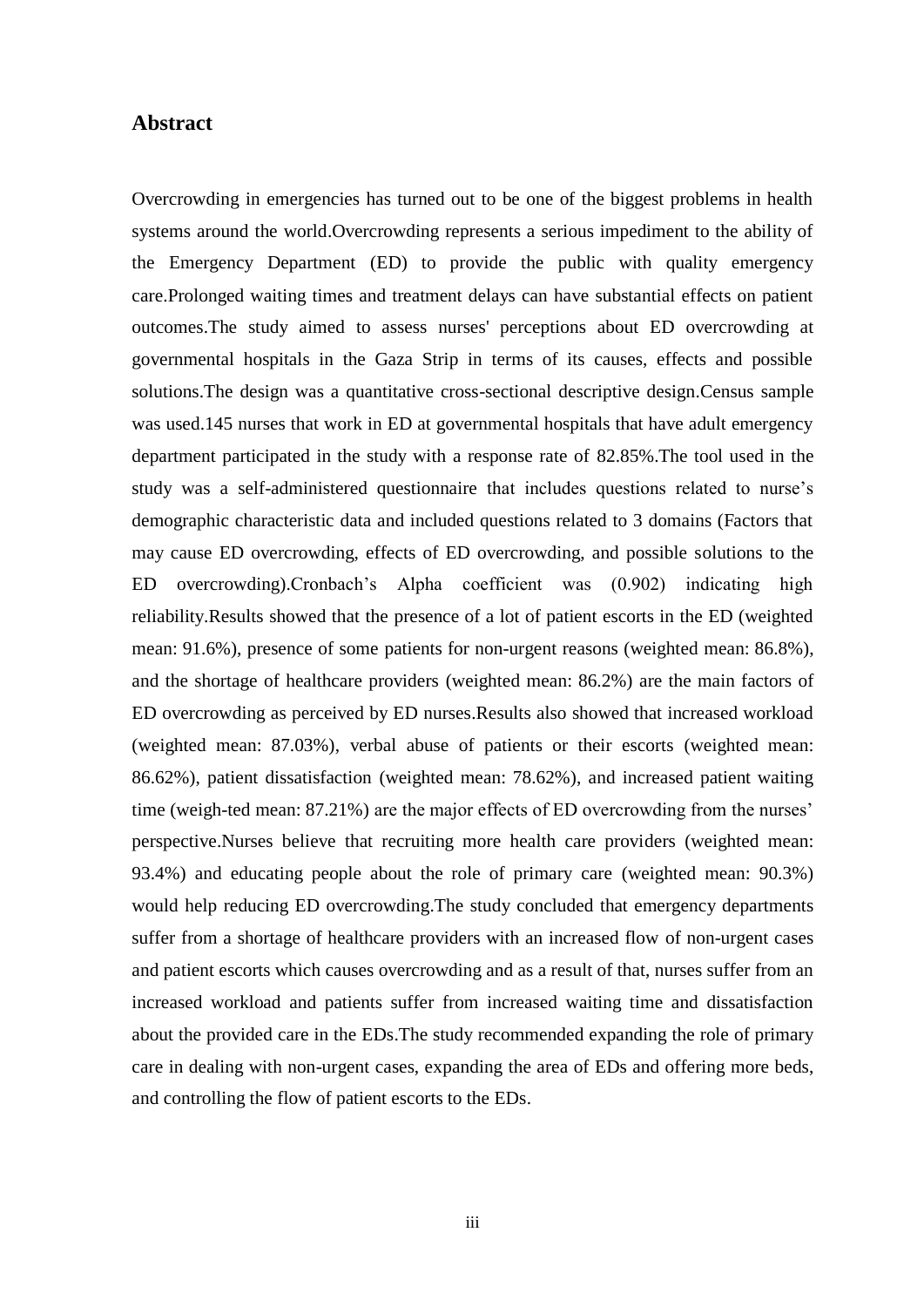#### <span id="page-6-0"></span>**Abstract**

Overcrowding in emergencies has turned out to be one of the biggest problems in health systems around the world.Overcrowding represents a serious impediment to the ability of the Emergency Department (ED) to provide the public with quality emergency care.Prolonged waiting times and treatment delays can have substantial effects on patient outcomes.The study aimed to assess nurses' perceptions about ED overcrowding at governmental hospitals in the Gaza Strip in terms of its causes, effects and possible solutions.The design was a quantitative cross-sectional descriptive design.Census sample was used.145 nurses that work in ED at governmental hospitals that have adult emergency department participated in the study with a response rate of 82.85%.The tool used in the study was a self-administered questionnaire that includes questions related to nurse"s demographic characteristic data and included questions related to 3 domains (Factors that may cause ED overcrowding, effects of ED overcrowding, and possible solutions to the ED overcrowding).Cronbach"s Alpha coefficient was (0.902) indicating high reliability.Results showed that the presence of a lot of patient escorts in the ED (weighted mean: 91.6%), presence of some patients for non-urgent reasons (weighted mean: 86.8%), and the shortage of healthcare providers (weighted mean: 86.2%) are the main factors of ED overcrowding as perceived by ED nurses.Results also showed that increased workload (weighted mean: 87.03%), verbal abuse of patients or their escorts (weighted mean: 86.62%), patient dissatisfaction (weighted mean: 78.62%), and increased patient waiting time (weigh-ted mean: 87.21%) are the major effects of ED overcrowding from the nurses' perspective.Nurses believe that recruiting more health care providers (weighted mean: 93.4%) and educating people about the role of primary care (weighted mean: 90.3%) would help reducing ED overcrowding.The study concluded that emergency departments suffer from a shortage of healthcare providers with an increased flow of non-urgent cases and patient escorts which causes overcrowding and as a result of that, nurses suffer from an increased workload and patients suffer from increased waiting time and dissatisfaction about the provided care in the EDs.The study recommended expanding the role of primary care in dealing with non-urgent cases, expanding the area of EDs and offering more beds, and controlling the flow of patient escorts to the EDs.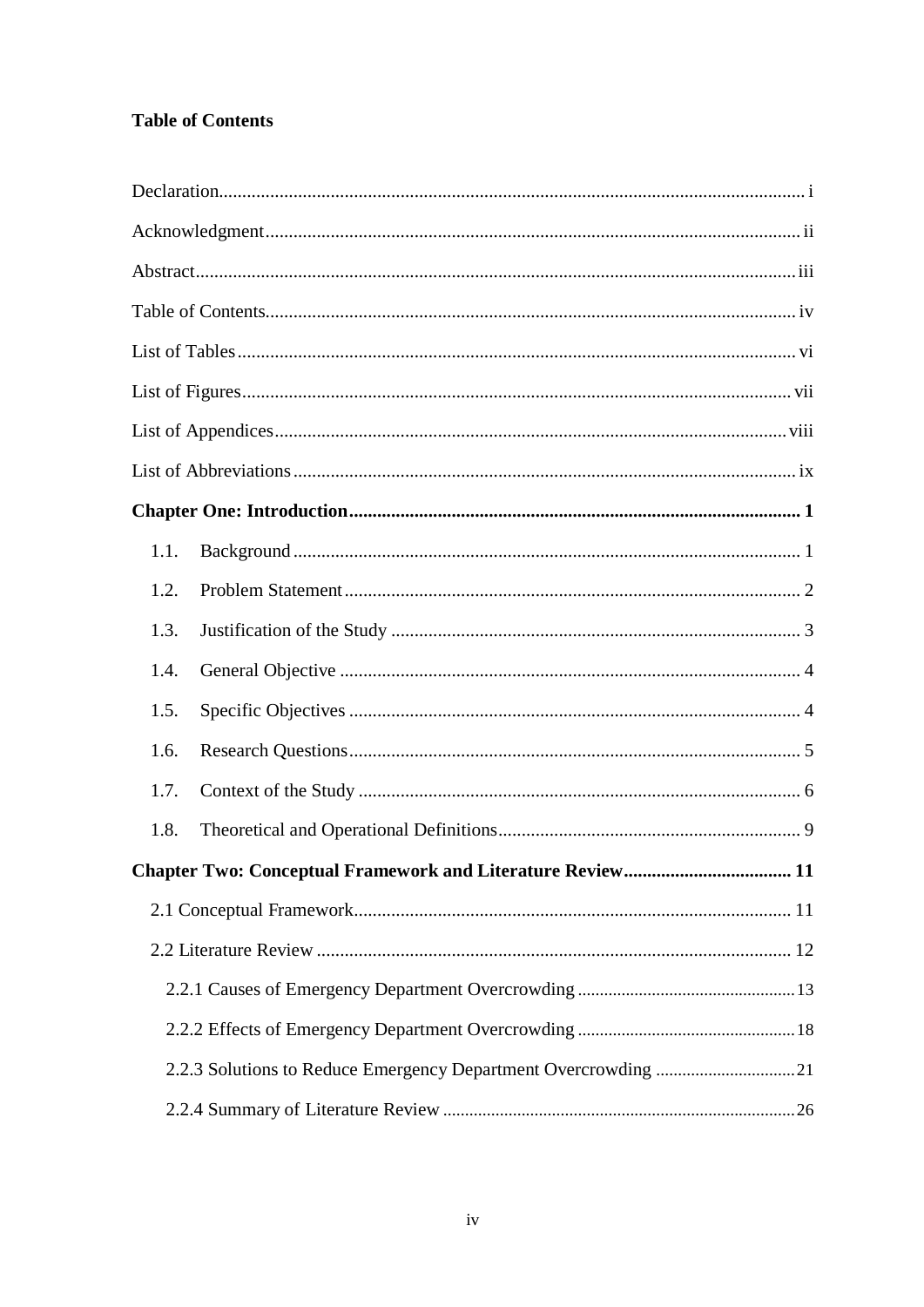# <span id="page-7-0"></span>**Table of Contents**

| 1.1. |                                                                |    |
|------|----------------------------------------------------------------|----|
| 1.2. |                                                                |    |
| 1.3. |                                                                |    |
| 1.4. |                                                                |    |
| 1.5. |                                                                |    |
| 1.6. |                                                                |    |
| 1.7. |                                                                |    |
| 1.8. |                                                                |    |
|      | <b>Chapter Two: Conceptual Framework and Literature Review</b> | 11 |
|      |                                                                |    |
|      |                                                                |    |
|      |                                                                |    |
|      |                                                                |    |
|      | 2.2.3 Solutions to Reduce Emergency Department Overcrowding 21 |    |
|      |                                                                |    |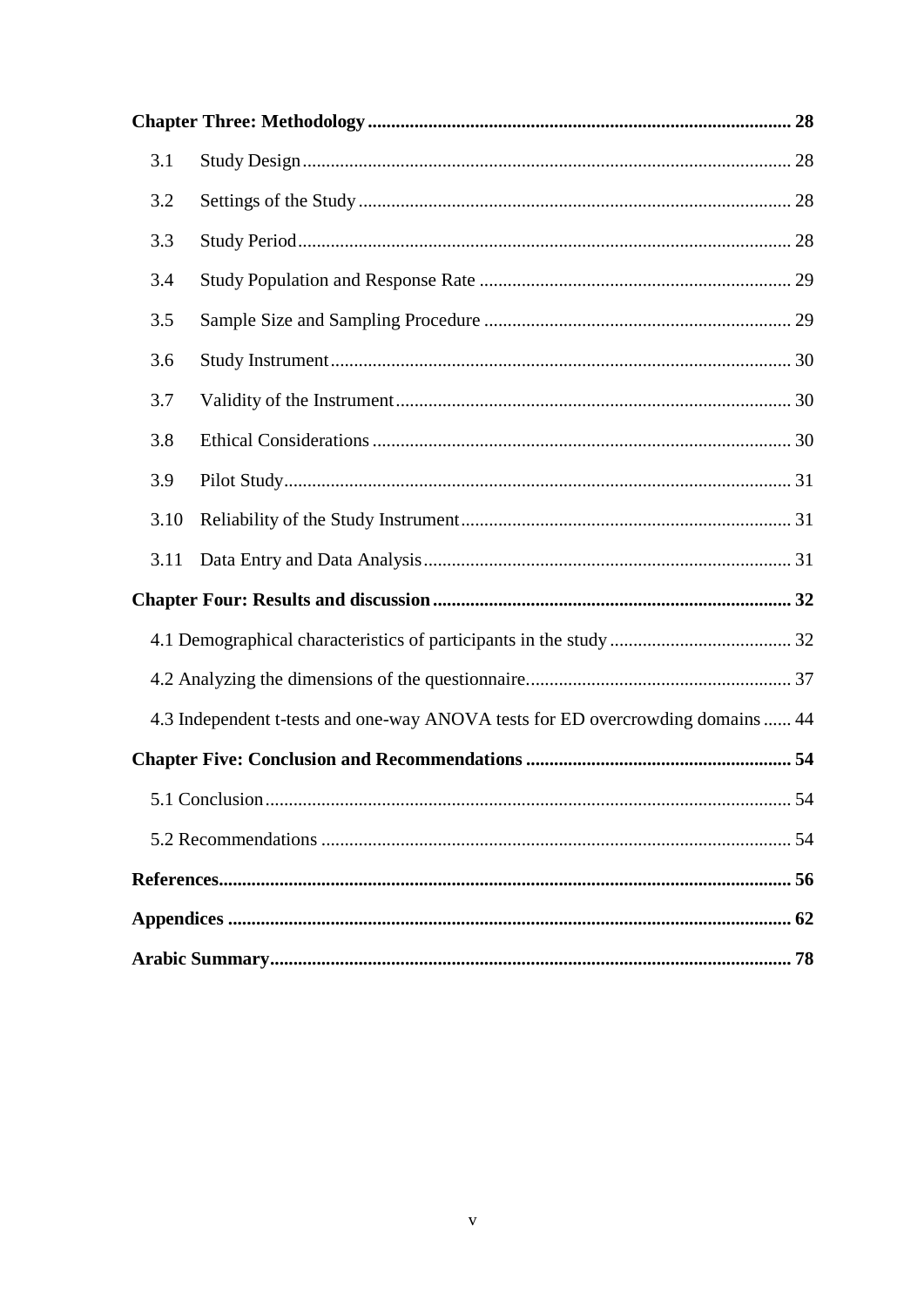| 3.1  |                                                                                 |
|------|---------------------------------------------------------------------------------|
| 3.2  |                                                                                 |
| 3.3  |                                                                                 |
| 3.4  |                                                                                 |
| 3.5  |                                                                                 |
| 3.6  |                                                                                 |
| 3.7  |                                                                                 |
| 3.8  |                                                                                 |
| 3.9  |                                                                                 |
| 3.10 |                                                                                 |
| 3.11 |                                                                                 |
|      |                                                                                 |
|      |                                                                                 |
|      |                                                                                 |
|      | 4.3 Independent t-tests and one-way ANOVA tests for ED overcrowding domains  44 |
|      |                                                                                 |
|      | 5.1 Conclusion.<br>54                                                           |
|      |                                                                                 |
|      |                                                                                 |
|      |                                                                                 |
|      |                                                                                 |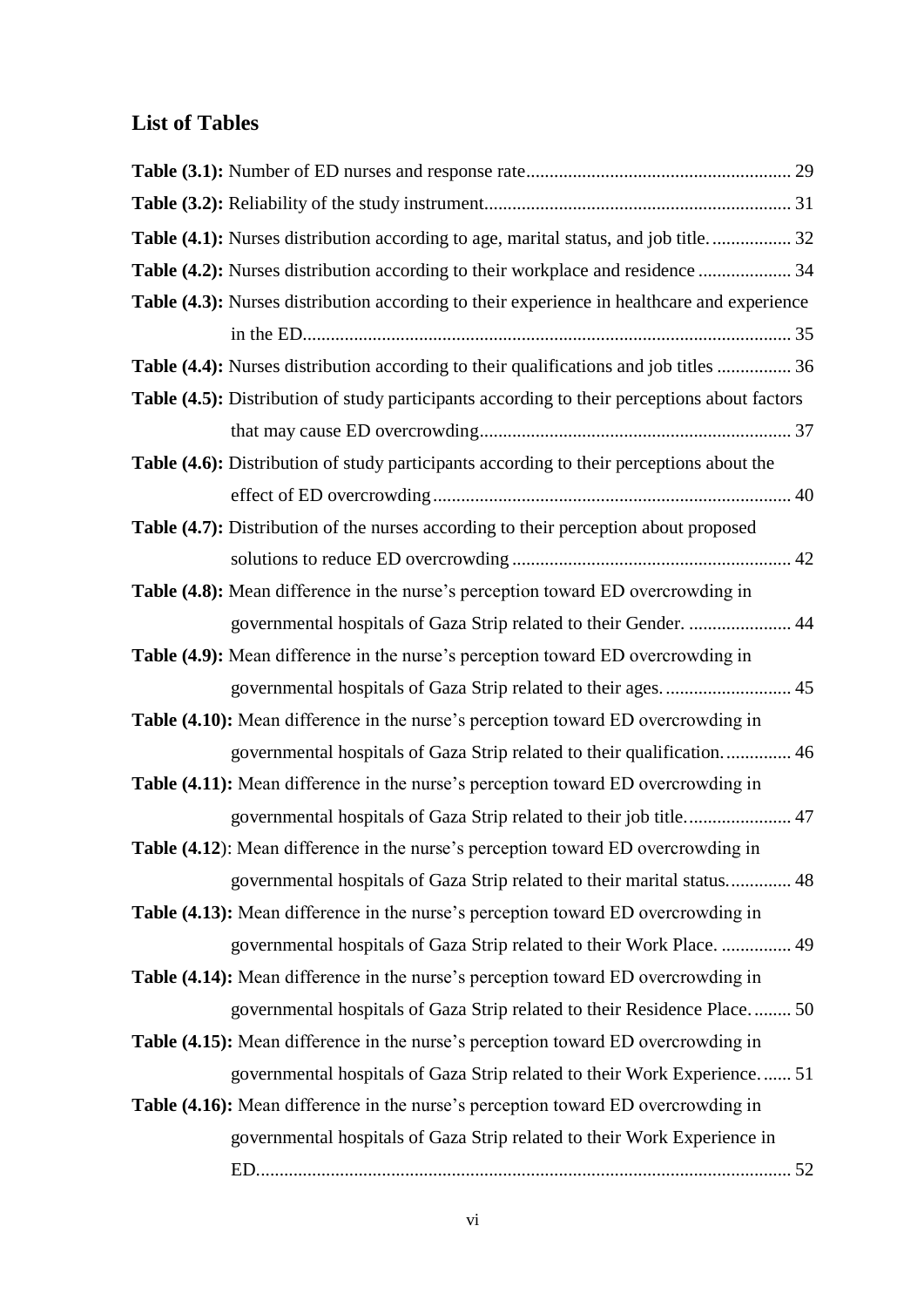# <span id="page-9-0"></span>**List of Tables**

| Table (4.1): Nurses distribution according to age, marital status, and job title 32          |  |
|----------------------------------------------------------------------------------------------|--|
| Table (4.2): Nurses distribution according to their workplace and residence  34              |  |
| Table (4.3): Nurses distribution according to their experience in healthcare and experience  |  |
|                                                                                              |  |
| Table (4.4): Nurses distribution according to their qualifications and job titles  36        |  |
| Table (4.5): Distribution of study participants according to their perceptions about factors |  |
|                                                                                              |  |
| Table (4.6): Distribution of study participants according to their perceptions about the     |  |
|                                                                                              |  |
| Table (4.7): Distribution of the nurses according to their perception about proposed         |  |
|                                                                                              |  |
| Table (4.8): Mean difference in the nurse's perception toward ED overcrowding in             |  |
| governmental hospitals of Gaza Strip related to their Gender.  44                            |  |
| Table (4.9): Mean difference in the nurse's perception toward ED overcrowding in             |  |
| governmental hospitals of Gaza Strip related to their ages.  45                              |  |
| <b>Table (4.10):</b> Mean difference in the nurse's perception toward ED overcrowding in     |  |
| governmental hospitals of Gaza Strip related to their qualification 46                       |  |
| Table (4.11): Mean difference in the nurse's perception toward ED overcrowding in            |  |
| governmental hospitals of Gaza Strip related to their job title 47                           |  |
| Table (4.12): Mean difference in the nurse's perception toward ED overcrowding in            |  |
| governmental hospitals of Gaza Strip related to their marital status 48                      |  |
| Table (4.13): Mean difference in the nurse's perception toward ED overcrowding in            |  |
| governmental hospitals of Gaza Strip related to their Work Place.  49                        |  |
| Table (4.14): Mean difference in the nurse's perception toward ED overcrowding in            |  |
| governmental hospitals of Gaza Strip related to their Residence Place 50                     |  |
| Table (4.15): Mean difference in the nurse's perception toward ED overcrowding in            |  |
| governmental hospitals of Gaza Strip related to their Work Experience 51                     |  |
| Table (4.16): Mean difference in the nurse's perception toward ED overcrowding in            |  |
| governmental hospitals of Gaza Strip related to their Work Experience in                     |  |
|                                                                                              |  |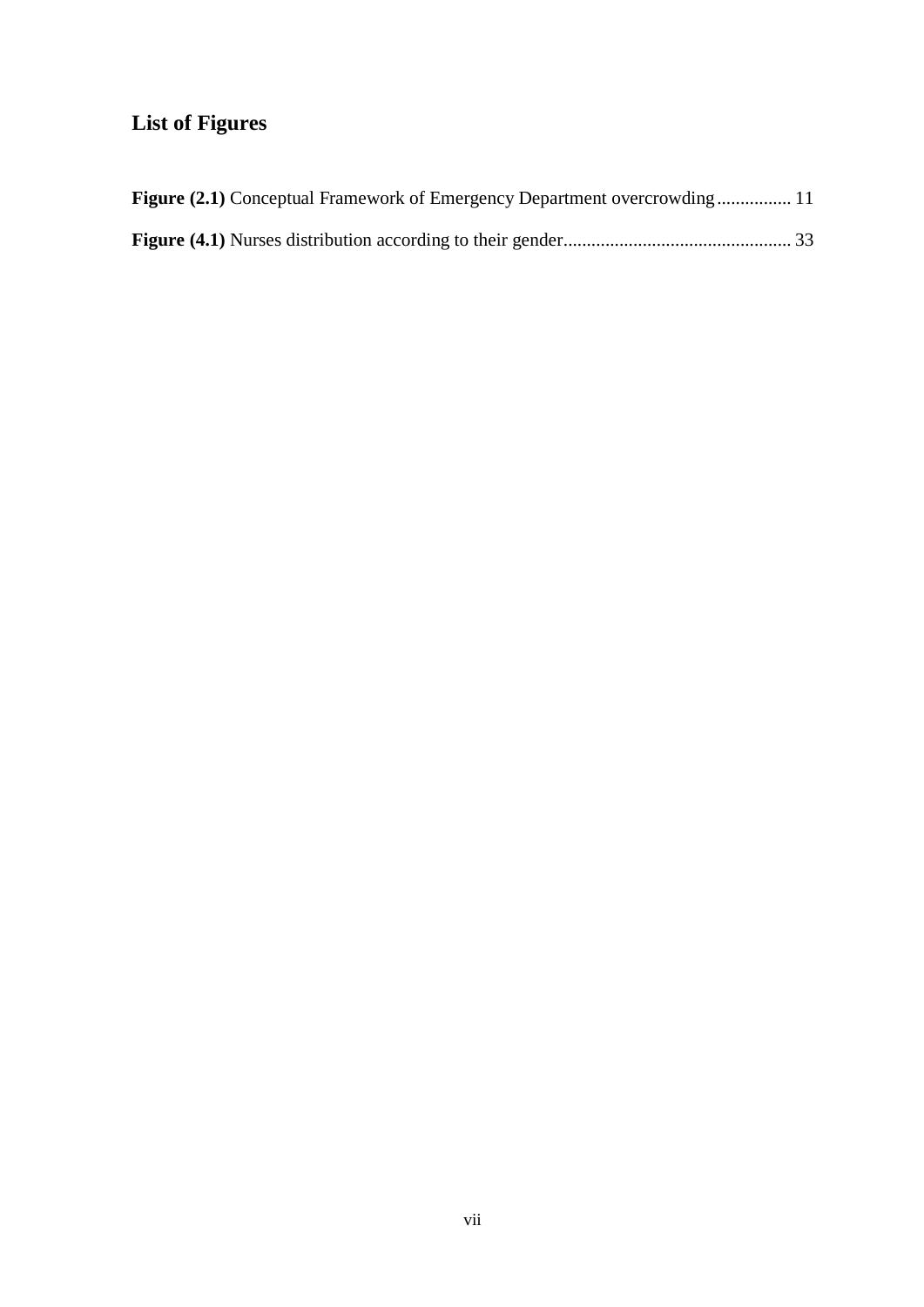# <span id="page-10-0"></span>**List of Figures**

| <b>Figure (2.1)</b> Conceptual Framework of Emergency Department overcrowding 11 |  |
|----------------------------------------------------------------------------------|--|
|                                                                                  |  |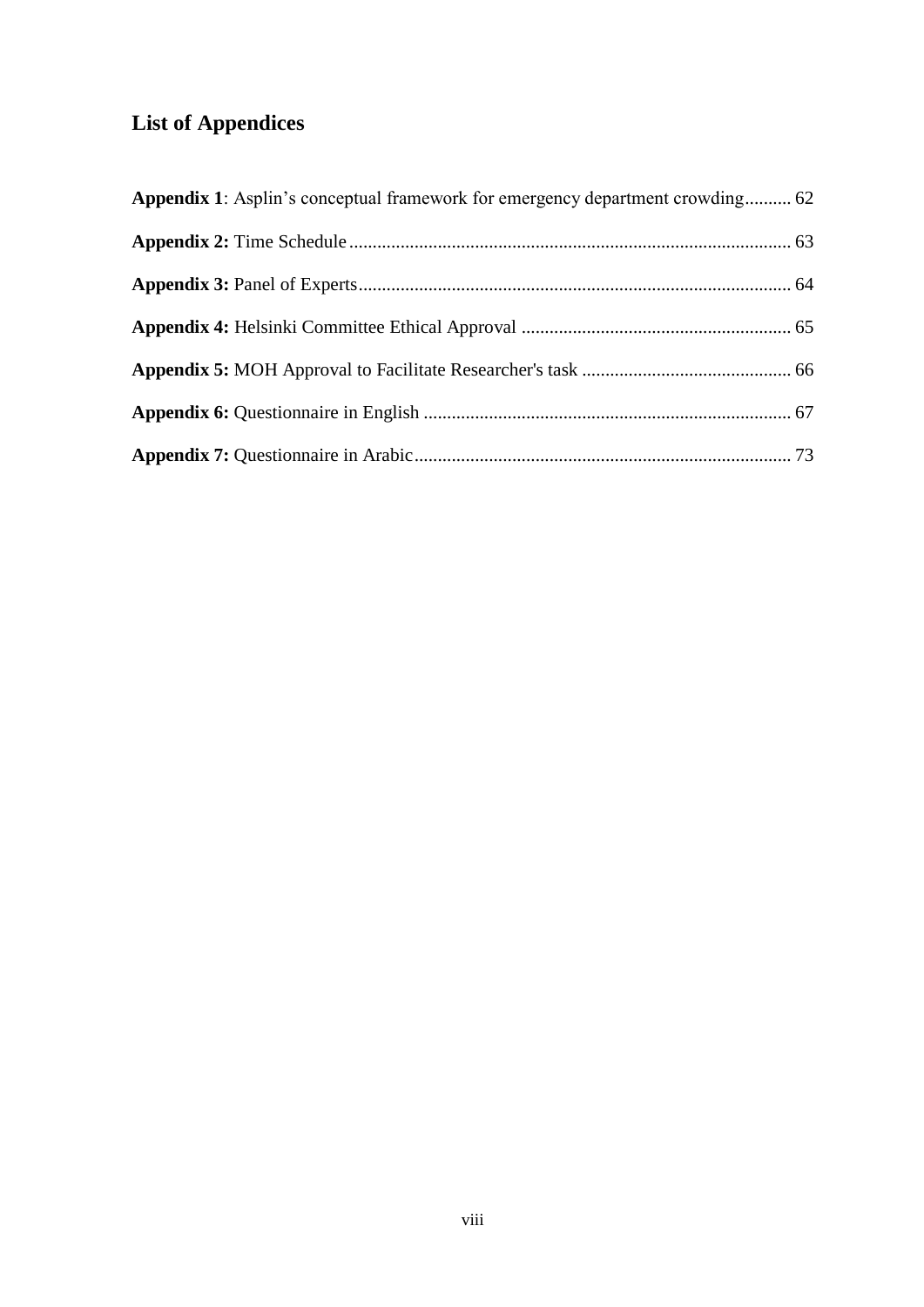# <span id="page-11-0"></span>**List of Appendices**

| <b>Appendix 1:</b> Asplin's conceptual framework for emergency department crowding 62 |  |
|---------------------------------------------------------------------------------------|--|
|                                                                                       |  |
|                                                                                       |  |
|                                                                                       |  |
|                                                                                       |  |
|                                                                                       |  |
|                                                                                       |  |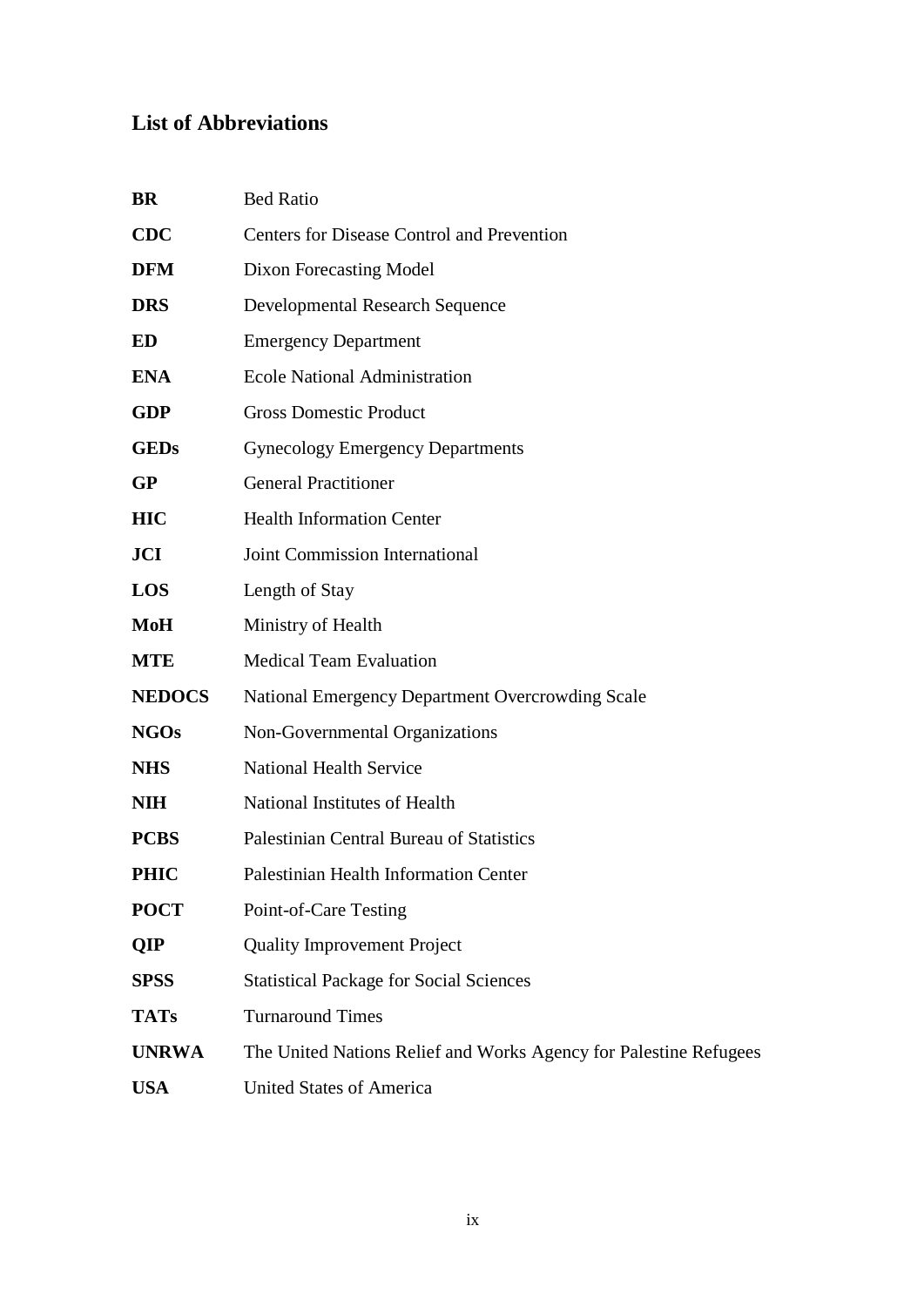# <span id="page-12-0"></span>**List of Abbreviations**

|                                                                   | <b>CDC</b><br><b>Centers for Disease Control and Prevention</b><br><b>DFM</b><br>Dixon Forecasting Model<br><b>DRS</b><br><b>Developmental Research Sequence</b><br>ED<br><b>Emergency Department</b><br><b>ENA</b><br><b>Ecole National Administration</b><br><b>GDP</b><br><b>Gross Domestic Product</b> |
|-------------------------------------------------------------------|------------------------------------------------------------------------------------------------------------------------------------------------------------------------------------------------------------------------------------------------------------------------------------------------------------|
|                                                                   |                                                                                                                                                                                                                                                                                                            |
|                                                                   |                                                                                                                                                                                                                                                                                                            |
|                                                                   |                                                                                                                                                                                                                                                                                                            |
|                                                                   |                                                                                                                                                                                                                                                                                                            |
|                                                                   |                                                                                                                                                                                                                                                                                                            |
|                                                                   |                                                                                                                                                                                                                                                                                                            |
|                                                                   | <b>GEDs</b><br><b>Gynecology Emergency Departments</b>                                                                                                                                                                                                                                                     |
|                                                                   | <b>General Practitioner</b><br><b>GP</b>                                                                                                                                                                                                                                                                   |
|                                                                   | <b>Health Information Center</b><br><b>HIC</b>                                                                                                                                                                                                                                                             |
|                                                                   | <b>Joint Commission International</b><br><b>JCI</b>                                                                                                                                                                                                                                                        |
|                                                                   | <b>LOS</b><br>Length of Stay                                                                                                                                                                                                                                                                               |
|                                                                   | MoH<br>Ministry of Health                                                                                                                                                                                                                                                                                  |
|                                                                   | <b>Medical Team Evaluation</b><br><b>MTE</b>                                                                                                                                                                                                                                                               |
|                                                                   | <b>NEDOCS</b><br><b>National Emergency Department Overcrowding Scale</b>                                                                                                                                                                                                                                   |
|                                                                   | <b>NGOs</b><br>Non-Governmental Organizations                                                                                                                                                                                                                                                              |
|                                                                   | <b>National Health Service</b><br><b>NHS</b>                                                                                                                                                                                                                                                               |
|                                                                   | National Institutes of Health<br><b>NIH</b>                                                                                                                                                                                                                                                                |
|                                                                   |                                                                                                                                                                                                                                                                                                            |
|                                                                   | <b>PCBS</b><br>Palestinian Central Bureau of Statistics                                                                                                                                                                                                                                                    |
|                                                                   | <b>PHIC</b><br>Palestinian Health Information Center                                                                                                                                                                                                                                                       |
|                                                                   | <b>POCT</b><br>Point-of-Care Testing                                                                                                                                                                                                                                                                       |
|                                                                   | <b>Quality Improvement Project</b><br>QIP                                                                                                                                                                                                                                                                  |
|                                                                   | <b>SPSS</b><br><b>Statistical Package for Social Sciences</b>                                                                                                                                                                                                                                              |
|                                                                   | <b>Turnaround Times</b><br><b>TATs</b>                                                                                                                                                                                                                                                                     |
| The United Nations Relief and Works Agency for Palestine Refugees | <b>UNRWA</b>                                                                                                                                                                                                                                                                                               |
|                                                                   |                                                                                                                                                                                                                                                                                                            |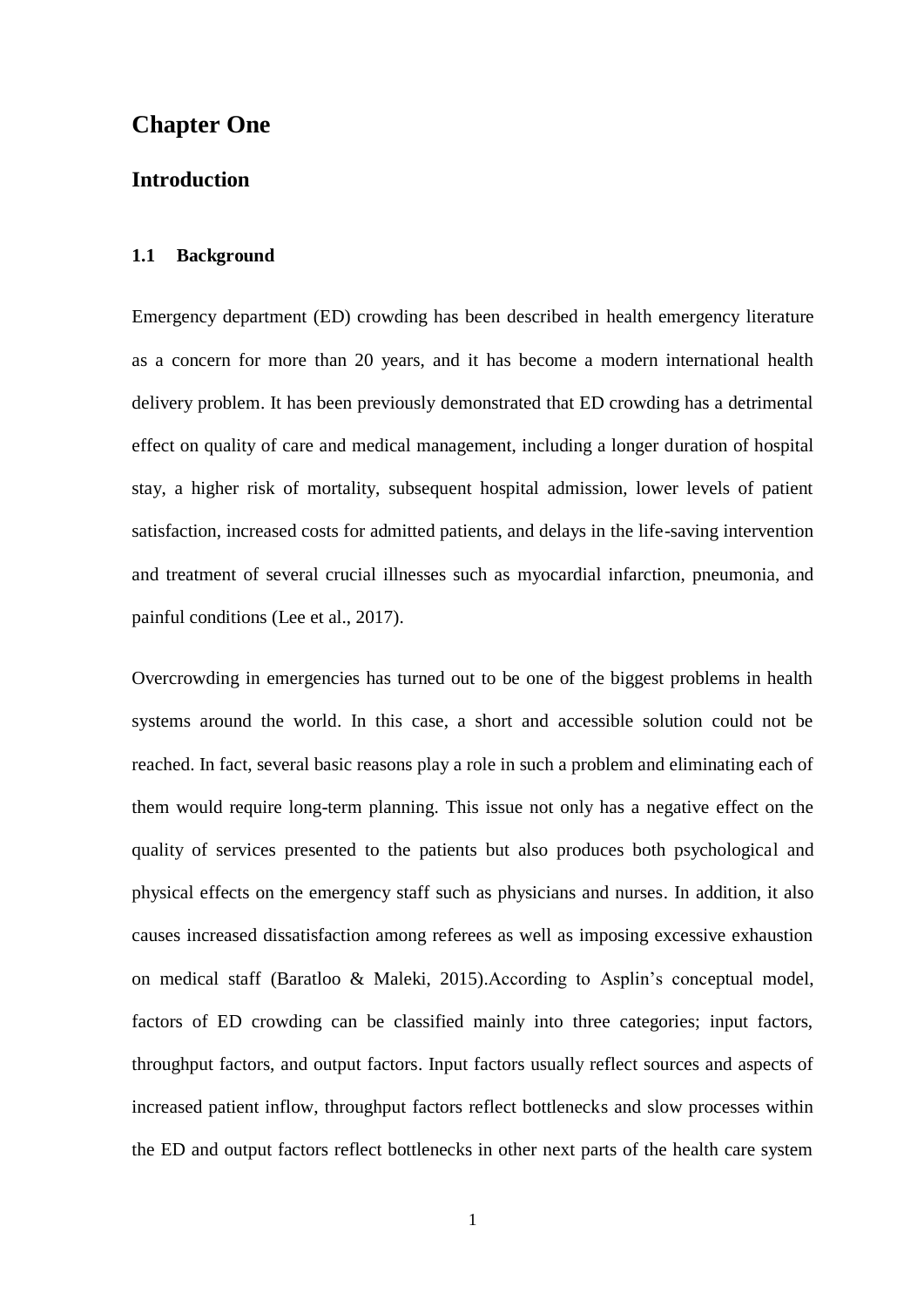## <span id="page-13-0"></span>**1 Chapter One**

#### **Introduction**

#### <span id="page-13-1"></span>**1.1 Background**

Emergency department (ED) crowding has been described in health emergency literature as a concern for more than 20 years, and it has become a modern international health delivery problem. It has been previously demonstrated that ED crowding has a detrimental effect on quality of care and medical management, including a longer duration of hospital stay, a higher risk of mortality, subsequent hospital admission, lower levels of patient satisfaction, increased costs for admitted patients, and delays in the life-saving intervention and treatment of several crucial illnesses such as myocardial infarction, pneumonia, and painful conditions (Lee et al., 2017).

Overcrowding in emergencies has turned out to be one of the biggest problems in health systems around the world. In this case, a short and accessible solution could not be reached. In fact, several basic reasons play a role in such a problem and eliminating each of them would require long-term planning. This issue not only has a negative effect on the quality of services presented to the patients but also produces both psychological and physical effects on the emergency staff such as physicians and nurses. In addition, it also causes increased dissatisfaction among referees as well as imposing excessive exhaustion on medical staff (Baratloo & Maleki, 2015).According to Asplin"s conceptual model, factors of ED crowding can be classified mainly into three categories; input factors, throughput factors, and output factors. Input factors usually reflect sources and aspects of increased patient inflow, throughput factors reflect bottlenecks and slow processes within the ED and output factors reflect bottlenecks in other next parts of the health care system